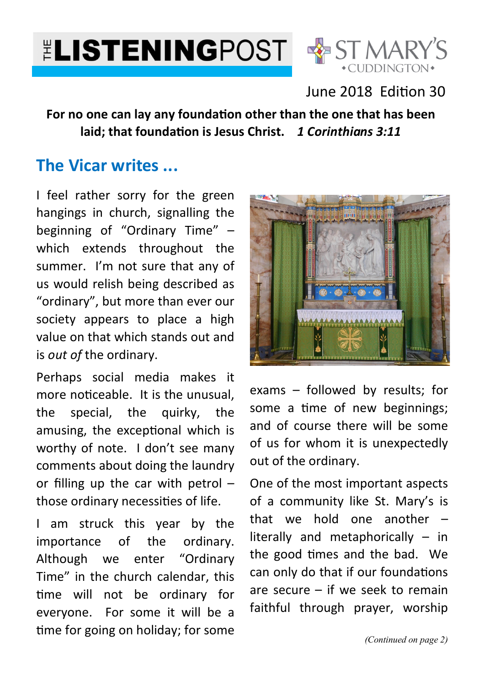



## June 2018 Edition 30

### For no one can lay any foundation other than the one that has been laid; that foundation is Jesus Christ. 1 Corinthians 3:11

# **The Vicar writes ...**

I feel rather sorry for the green hangings in church, signalling the beginning of "Ordinary Time" – which extends throughout the summer. I'm not sure that any of us would relish being described as "ordinary", but more than ever our society appears to place a high value on that which stands out and is *out of* the ordinary.

Perhaps social media makes it more noticeable. It is the unusual. the special, the quirky, the amusing, the exceptional which is worthy of note. I don't see many comments about doing the laundry or filling up the car with petrol – those ordinary necessities of life.

I am struck this year by the importance of the ordinary. Although we enter "Ordinary Time" in the church calendar, this time will not be ordinary for everyone. For some it will be a time for going on holiday; for some



exams – followed by results; for some a time of new beginnings; and of course there will be some of us for whom it is unexpectedly out of the ordinary.

One of the most important aspects of a community like St. Mary's is that we hold one another – literally and metaphorically – in the good 
mes and the bad. We can only do that if our foundations are secure – if we seek to remain faithful through prayer, worship

*(Continued on page 2)*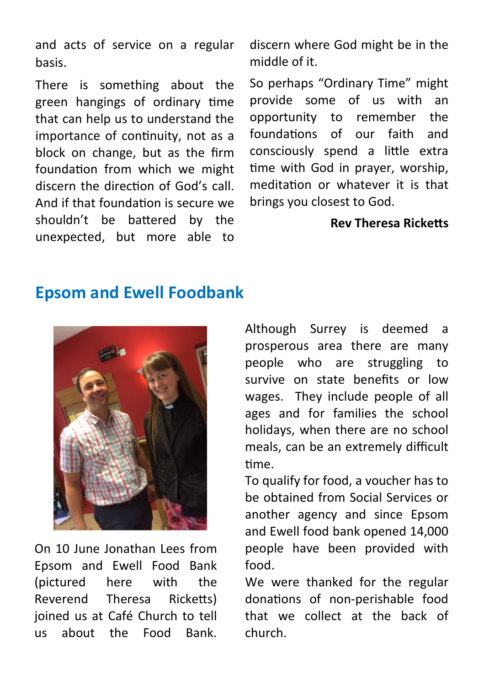and acts of service on a regular basis.

There is something about the green hangings of ordinary time that can help us to understand the importance of continuity, not as a block on change, but as the firm foundation from which we might discern the direction of God's call. And if that foundation is secure we shouldn't be battered by the unexpected, but more able to discern where God might be in the middle of it.

So perhaps "Ordinary Time" might provide some of us with an opportunity to remember the foundations of our faith and consciously spend a little extra time with God in prayer, worship, meditation or whatever it is that brings you closest to God.

### **Rev Theresa Ricketts**

# **Epsom and Ewell Foodbank**



On 10 June Jonathan Lees from Epsom and Ewell Food Bank (pictured here with the Reverend Theresa Ricketts) joined us at Café Church to tell us about the Food Bank.

Although Surrey is deemed a prosperous area there are many people who are struggling to survive on state benefits or low wages. They include people of all ages and for families the school holidays, when there are no school meals, can be an extremely difficult time.

To qualify for food, a voucher has to be obtained from Social Services or another agency and since Epsom and Ewell food bank opened 14,000 people have been provided with food.

We were thanked for the regular donations of non-perishable food that we collect at the back of church.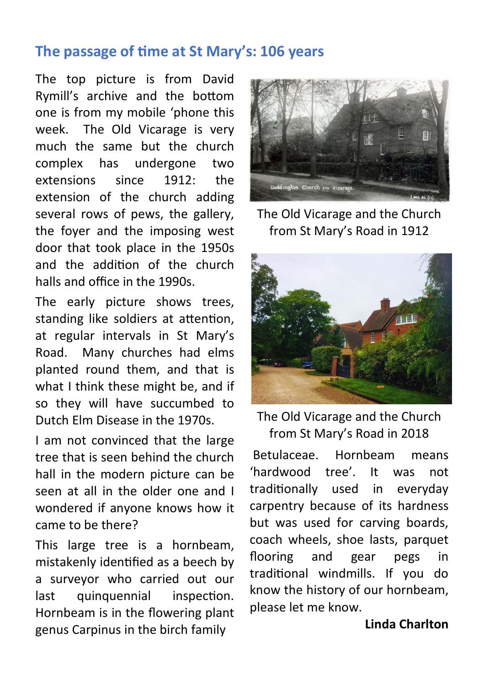## The passage of time at St Mary's: 106 years

The top picture is from David Rymill's archive and the bottom one is from my mobile 'phone this week. The Old Vicarage is very much the same but the church complex has undergone two extensions since 1912: the extension of the church adding several rows of pews, the gallery, the foyer and the imposing west door that took place in the 1950s and the addition of the church halls and office in the 1990s.

The early picture shows trees, standing like soldiers at attention, at regular intervals in St Mary's Road. Many churches had elms planted round them, and that is what I think these might be, and if so they will have succumbed to Dutch Elm Disease in the 1970s.

I am not convinced that the large tree that is seen behind the church hall in the modern picture can be seen at all in the older one and I wondered if anyone knows how it came to be there?

This large tree is a hornbeam, mistakenly iden
fied as a beech by a surveyor who carried out our last quinquennial inspection. Hornbeam is in the flowering plant genus Carpinus in the birch family



The Old Vicarage and the Church from St Mary's Road in 1912



The Old Vicarage and the Church from St Mary's Road in 2018

 Betulaceae. Hornbeam means 'hardwood tree'. It was not tradi
onally used in everyday carpentry because of its hardness but was used for carving boards, coach wheels, shoe lasts, parquet flooring and gear pegs in tradi
onal windmills. If you do know the history of our hornbeam, please let me know.

### **Linda Charlton**